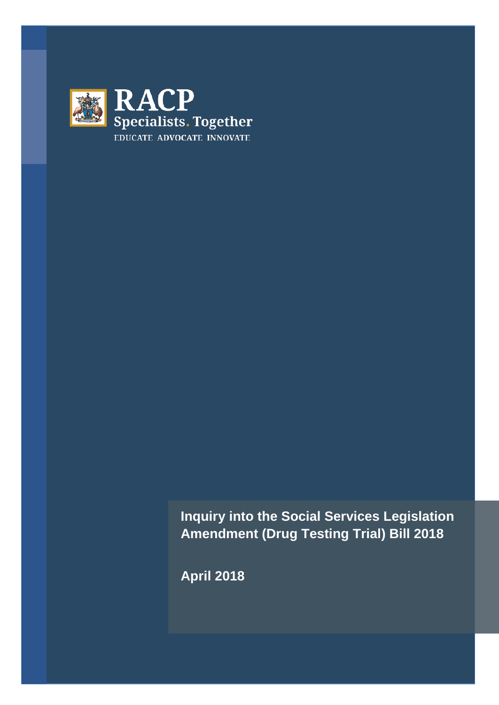

**Inquiry into the Social Services Legislation Amendment (Drug Testing Trial) Bill 2018**

**April 2018**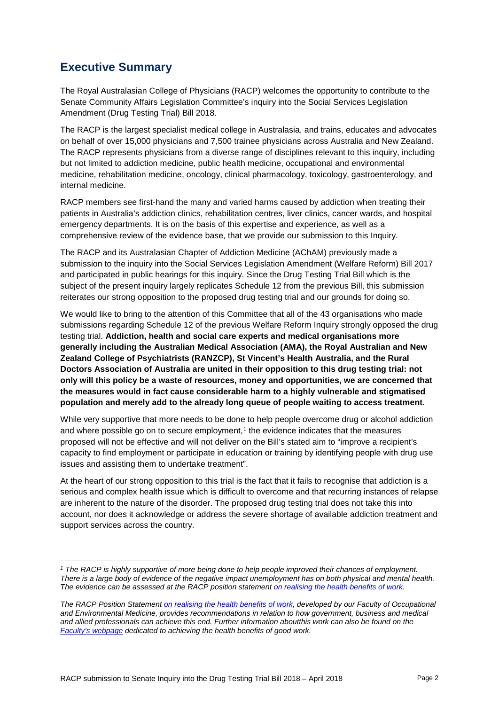# **Executive Summary**

The Royal Australasian College of Physicians (RACP) welcomes the opportunity to contribute to the Senate Community Affairs Legislation Committee's inquiry into the Social Services Legislation Amendment (Drug Testing Trial) Bill 2018.

The RACP is the largest specialist medical college in Australasia, and trains, educates and advocates on behalf of over 15,000 physicians and 7,500 trainee physicians across Australia and New Zealand. The RACP represents physicians from a diverse range of disciplines relevant to this inquiry, including but not limited to addiction medicine, public health medicine, occupational and environmental medicine, rehabilitation medicine, oncology, clinical pharmacology, toxicology, gastroenterology, and internal medicine.

RACP members see first-hand the many and varied harms caused by addiction when treating their patients in Australia's addiction clinics, rehabilitation centres, liver clinics, cancer wards, and hospital emergency departments. It is on the basis of this expertise and experience, as well as a comprehensive review of the evidence base, that we provide our submission to this Inquiry.

The RACP and its Australasian Chapter of Addiction Medicine (AChAM) previously made a submission to the inquiry into the Social Services Legislation Amendment (Welfare Reform) Bill 2017 and participated in public hearings for this inquiry. Since the Drug Testing Trial Bill which is the subject of the present inquiry largely replicates Schedule 12 from the previous Bill, this submission reiterates our strong opposition to the proposed drug testing trial and our grounds for doing so.

We would like to bring to the attention of this Committee that all of the 43 organisations who made submissions regarding Schedule 12 of the previous Welfare Reform Inquiry strongly opposed the drug testing trial. **Addiction, health and social care experts and medical organisations more generally including the Australian Medical Association (AMA), the Royal Australian and New Zealand College of Psychiatrists (RANZCP), St Vincent's Health Australia, and the Rural Doctors Association of Australia are united in their opposition to this drug testing trial: not only will this policy be a waste of resources, money and opportunities, we are concerned that the measures would in fact cause considerable harm to a highly vulnerable and stigmatised population and merely add to the already long queue of people waiting to access treatment.**

While very supportive that more needs to be done to help people overcome drug or alcohol addiction and where possible go on to secure employment, $1$  the evidence indicates that the measures proposed will not be effective and will not deliver on the Bill's stated aim to "improve a recipient's capacity to find employment or participate in education or training by identifying people with drug use issues and assisting them to undertake treatment".

At the heart of our strong opposition to this trial is the fact that it fails to recognise that addiction is a serious and complex health issue which is difficult to overcome and that recurring instances of relapse are inherent to the nature of the disorder. The proposed drug testing trial does not take this into account, nor does it acknowledge or address the severe shortage of available addiction treatment and support services across the country.

<span id="page-1-0"></span>*<sup>1</sup> The RACP is highly supportive of more being done to help people improved their chances of employment. There is a large body of evidence of the negative impact unemployment has on both physical and mental health. The evidence can be assessed at the RACP position statemen[t on realising the health benefits of work.](https://www.racp.edu.au/docs/default-source/advocacy-library/realising-the-health-benefits-of-work.pdf?sfvrsn=10)* 

*The RACP Position Statemen[t on realising the health benefits of work,](https://www.racp.edu.au/docs/default-source/advocacy-library/realising-the-health-benefits-of-work.pdf?sfvrsn=10) developed by our Faculty of Occupational and Environmental Medicine, provides recommendations in relation to how government, business and medical and allied professionals can achieve this end. Further information aboutthis work can also be found on the [Faculty's webpage](https://www.racp.edu.au/advocacy/division-faculty-and-chapter-priorities/faculty-of-occupational-environmental-medicine/health-benefits-of-good-work) dedicated to achieving the health benefits of good work.*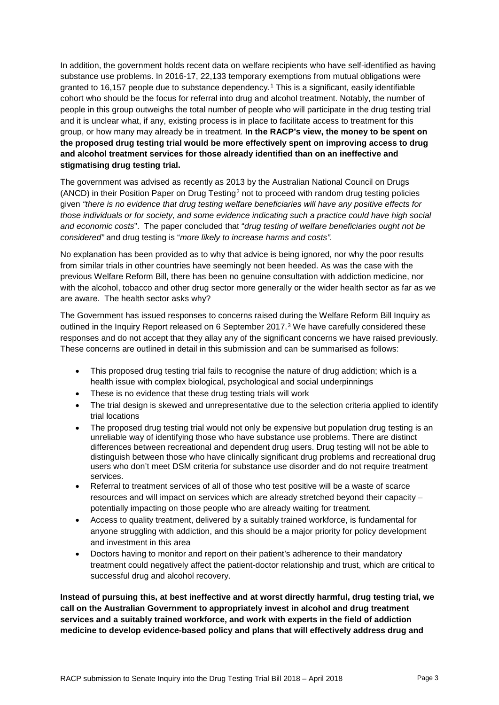In addition, the government holds recent data on welfare recipients who have self-identified as having substance use problems. In 2016-17, 22,133 temporary exemptions from mutual obligations were granted to 16,157 people due to substance dependency.[1](#page-11-0) This is a significant, easily identifiable cohort who should be the focus for referral into drug and alcohol treatment. Notably, the number of people in this group outweighs the total number of people who will participate in the drug testing trial and it is unclear what, if any, existing process is in place to facilitate access to treatment for this group, or how many may already be in treatment. **In the RACP's view, the money to be spent on the proposed drug testing trial would be more effectively spent on improving access to drug and alcohol treatment services for those already identified than on an ineffective and stigmatising drug testing trial.**

The government was advised as recently as 2013 by the Australian National Council on Drugs (ANCD) in their Position Paper on Drug Testing[2](#page-11-1) not to proceed with random drug testing policies given *"there is no evidence that drug testing welfare beneficiaries will have any positive effects for those individuals or for society, and some evidence indicating such a practice could have high social and economic costs*". The paper concluded that "*drug testing of welfare beneficiaries ought not be considered"* and drug testing is "*more likely to increase harms and costs".*

No explanation has been provided as to why that advice is being ignored, nor why the poor results from similar trials in other countries have seemingly not been heeded. As was the case with the previous Welfare Reform Bill, there has been no genuine consultation with addiction medicine, nor with the alcohol, tobacco and other drug sector more generally or the wider health sector as far as we are aware. The health sector asks why?

The Government has issued responses to concerns raised during the Welfare Reform Bill Inquiry as outlined in the Inquiry Report released on 6 September 2017.<sup>[3](#page-11-2)</sup> We have carefully considered these responses and do not accept that they allay any of the significant concerns we have raised previously. These concerns are outlined in detail in this submission and can be summarised as follows:

- This proposed drug testing trial fails to recognise the nature of drug addiction; which is a health issue with complex biological, psychological and social underpinnings
- These is no evidence that these drug testing trials will work
- The trial design is skewed and unrepresentative due to the selection criteria applied to identify trial locations
- The proposed drug testing trial would not only be expensive but population drug testing is an unreliable way of identifying those who have substance use problems. There are distinct differences between recreational and dependent drug users. Drug testing will not be able to distinguish between those who have clinically significant drug problems and recreational drug users who don't meet DSM criteria for substance use disorder and do not require treatment services.
- Referral to treatment services of all of those who test positive will be a waste of scarce resources and will impact on services which are already stretched beyond their capacity – potentially impacting on those people who are already waiting for treatment.
- Access to quality treatment, delivered by a suitably trained workforce, is fundamental for anyone struggling with addiction, and this should be a major priority for policy development and investment in this area
- Doctors having to monitor and report on their patient's adherence to their mandatory treatment could negatively affect the patient-doctor relationship and trust, which are critical to successful drug and alcohol recovery.

**Instead of pursuing this, at best ineffective and at worst directly harmful, drug testing trial, we call on the Australian Government to appropriately invest in alcohol and drug treatment services and a suitably trained workforce, and work with experts in the field of addiction medicine to develop evidence-based policy and plans that will effectively address drug and**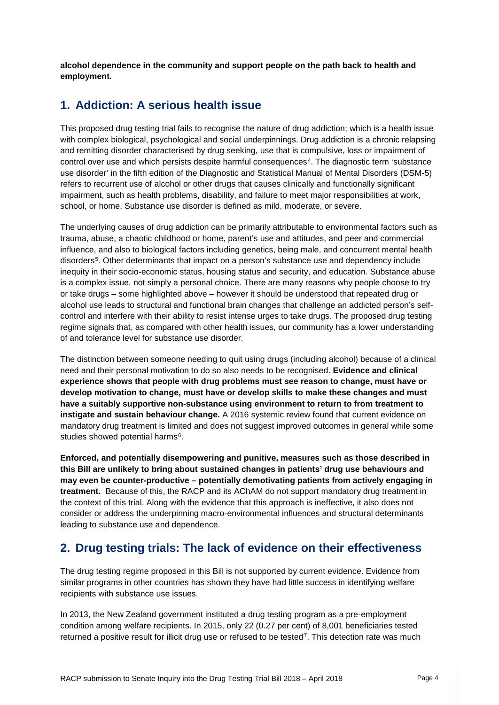**alcohol dependence in the community and support people on the path back to health and employment.** 

### **1. Addiction: A serious health issue**

This proposed drug testing trial fails to recognise the nature of drug addiction; which is a health issue with complex biological, psychological and social underpinnings. Drug addiction is a chronic relapsing and remitting disorder characterised by drug seeking, use that is compulsive, loss or impairment of control over use and which persists despite harmful consequences[4.](#page-12-0) The diagnostic term 'substance use disorder' in the fifth edition of the Diagnostic and Statistical Manual of Mental Disorders (DSM-5) refers to recurrent use of alcohol or other drugs that causes clinically and functionally significant impairment, such as health problems, disability, and failure to meet major responsibilities at work, school, or home. Substance use disorder is defined as mild, moderate, or severe.

The underlying causes of drug addiction can be primarily attributable to environmental factors such as trauma, abuse, a chaotic childhood or home, parent's use and attitudes, and peer and commercial influence, and also to biological factors including genetics, being male, and concurrent mental health disorders<sup>[5](#page-12-1)</sup>. Other determinants that impact on a person's substance use and dependency include inequity in their socio-economic status, housing status and security, and education. Substance abuse is a complex issue, not simply a personal choice. There are many reasons why people choose to try or take drugs – some highlighted above – however it should be understood that repeated drug or alcohol use leads to structural and functional brain changes that challenge an addicted person's selfcontrol and interfere with their ability to resist intense urges to take drugs. The proposed drug testing regime signals that, as compared with other health issues, our community has a lower understanding of and tolerance level for substance use disorder.

The distinction between someone needing to quit using drugs (including alcohol) because of a clinical need and their personal motivation to do so also needs to be recognised. **Evidence and clinical experience shows that people with drug problems must see reason to change, must have or develop motivation to change, must have or develop skills to make these changes and must have a suitably supportive non-substance using environment to return to from treatment to instigate and sustain behaviour change.** A 2016 systemic review found that current evidence on mandatory drug treatment is limited and does not suggest improved outcomes in general while some studies showed potential harms<sup>[6](#page-12-2)</sup>.

**Enforced, and potentially disempowering and punitive, measures such as those described in this Bill are unlikely to bring about sustained changes in patients' drug use behaviours and may even be counter-productive – potentially demotivating patients from actively engaging in treatment.** Because of this, the RACP and its AChAM do not support mandatory drug treatment in the context of this trial. Along with the evidence that this approach is ineffective, it also does not consider or address the underpinning macro-environmental influences and structural determinants leading to substance use and dependence.

## **2. Drug testing trials: The lack of evidence on their effectiveness**

The drug testing regime proposed in this Bill is not supported by current evidence. Evidence from similar programs in other countries has shown they have had little success in identifying welfare recipients with substance use issues.

In 2013, the New Zealand government instituted a drug testing program as a pre-employment condition among welfare recipients. In 2015, only 22 (0.27 per cent) of 8,001 beneficiaries tested returned a positive result for illicit drug use or refused to be tested<sup>[7](#page-12-3)</sup>. This detection rate was much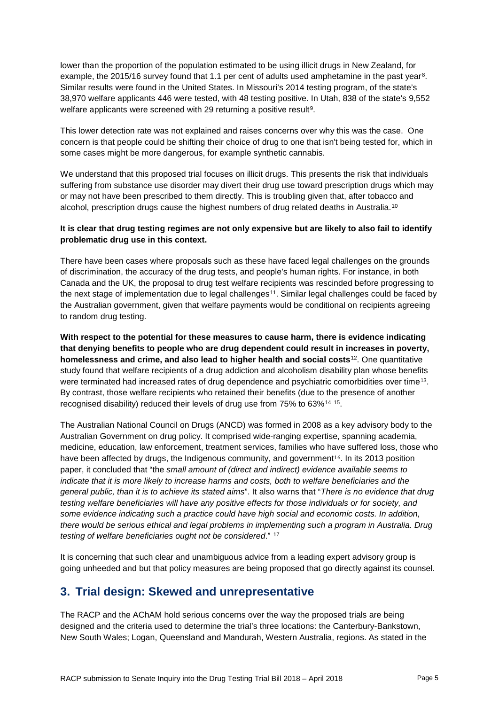lower than the proportion of the population estimated to be using illicit drugs in New Zealand, for example, the 2015/16 survey found that 1.1 per cent of adults used amphetamine in the past year<sup>[8](#page-12-4)</sup>. Similar results were found in the United States. In Missouri's 2014 testing program, of the state's 38,970 welfare applicants 446 were tested, with 48 testing positive. In Utah, 838 of the state's 9,552 welfare applicants were screened with 2[9](#page-12-5) returning a positive result<sup>9</sup>.

This lower detection rate was not explained and raises concerns over why this was the case. One concern is that people could be shifting their choice of drug to one that isn't being tested for, which in some cases might be more dangerous, for example synthetic cannabis.

We understand that this proposed trial focuses on illicit drugs. This presents the risk that individuals suffering from substance use disorder may divert their drug use toward prescription drugs which may or may not have been prescribed to them directly. This is troubling given that, after tobacco and alcohol, prescription drugs cause the highest numbers of drug related deaths in Australia.[10](#page-12-6)

#### **It is clear that drug testing regimes are not only expensive but are likely to also fail to identify problematic drug use in this context.**

There have been cases where proposals such as these have faced legal challenges on the grounds of discrimination, the accuracy of the drug tests, and people's human rights. For instance, in both Canada and the UK, the proposal to drug test welfare recipients was rescinded before progressing to the next stage of implementation due to legal challenges<sup>[11](#page-12-7)</sup>. Similar legal challenges could be faced by the Australian government, given that welfare payments would be conditional on recipients agreeing to random drug testing.

**With respect to the potential for these measures to cause harm, there is evidence indicating that denying benefits to people who are drug dependent could result in increases in poverty, homelessness and crime, and also lead to higher health and social costs**[12.](#page-12-8) One quantitative study found that welfare recipients of a drug addiction and alcoholism disability plan whose benefits were terminated had increased rates of drug dependence and psychiatric comorbidities over time<sup>13</sup>. By contrast, those welfare recipients who retained their benefits (due to the presence of another recognised disability) reduced their levels of drug use from 75% to 63%[14](#page-12-10) [15](#page-12-11).

The Australian National Council on Drugs (ANCD) was formed in 2008 as a key advisory body to the Australian Government on drug policy. It comprised wide-ranging expertise, spanning academia, medicine, education, law enforcement, treatment services, families who h[av](#page-12-12)e suffered loss, those who have been affected by drugs, the Indigenous community, and government<sup>16</sup>. In its 2013 position paper, it concluded that "the *small amount of (direct and indirect) evidence available seems to indicate that it is more likely to increase harms and costs, both to welfare beneficiaries and the general public, than it is to achieve its stated aims*". It also warns that "*There is no evidence that drug testing welfare beneficiaries will have any positive effects for those individuals or for society, and some evidence indicating such a practice could have high social and economic costs. In addition, there would be serious ethical and legal problems in implementing such a program in Australia. Drug testing of welfare beneficiaries ought not be considered*." [17](#page-12-13)

It is concerning that such clear and unambiguous advice from a leading expert advisory group is going unheeded and but that policy measures are being proposed that go directly against its counsel.

## **3. Trial design: Skewed and unrepresentative**

The RACP and the AChAM hold serious concerns over the way the proposed trials are being designed and the criteria used to determine the trial's three locations: the Canterbury-Bankstown, New South Wales; Logan, Queensland and Mandurah, Western Australia, regions. As stated in the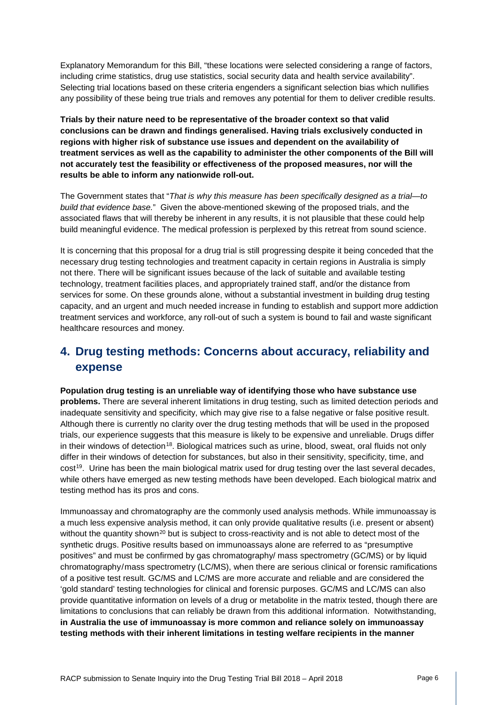Explanatory Memorandum for this Bill, "these locations were selected considering a range of factors, including crime statistics, drug use statistics, social security data and health service availability". Selecting trial locations based on these criteria engenders a significant selection bias which nullifies any possibility of these being true trials and removes any potential for them to deliver credible results.

**Trials by their nature need to be representative of the broader context so that valid conclusions can be drawn and findings generalised. Having trials exclusively conducted in regions with higher risk of substance use issues and dependent on the availability of treatment services as well as the capability to administer the other components of the Bill will not accurately test the feasibility or effectiveness of the proposed measures, nor will the results be able to inform any nationwide roll-out.**

The Government states that "*That is why this measure has been specifically designed as a trial—to build that evidence base.*" Given the above-mentioned skewing of the proposed trials, and the associated flaws that will thereby be inherent in any results, it is not plausible that these could help build meaningful evidence. The medical profession is perplexed by this retreat from sound science.

It is concerning that this proposal for a drug trial is still progressing despite it being conceded that the necessary drug testing technologies and treatment capacity in certain regions in Australia is simply not there. There will be significant issues because of the lack of suitable and available testing technology, treatment facilities places, and appropriately trained staff, and/or the distance from services for some. On these grounds alone, without a substantial investment in building drug testing capacity, and an urgent and much needed increase in funding to establish and support more addiction treatment services and workforce, any roll-out of such a system is bound to fail and waste significant healthcare resources and money.

# **4. Drug testing methods: Concerns about accuracy, reliability and expense**

**Population drug testing is an unreliable way of identifying those who have substance use problems.** There are several inherent limitations in drug testing, such as limited detection periods and inadequate sensitivity and specificity, which may give rise to a false negative or false positive result. Although there is currently no clarity over the drug testing methods that will be used in the proposed trials, our experience suggests that this measure is likely to be expensive and unreliable. Drugs differ in their windows of detection<sup>[18](#page-12-14)</sup>. Biological matrices such as urine, blood, sweat, oral fluids not only differ in their windows of detection for substances, but also in their sensitivity, specificity, time, and cost[19](#page-12-15). Urine has been the main biological matrix used for drug testing over the last several decades, while others have emerged as new testing methods have been developed. Each biological matrix and testing method has its pros and cons.

Immunoassay and chromatography are the commonly used analysis methods. While immunoassay is a much less expensive analysis method, it can only provide qualitative results (i.e. present or absent) without the quantity shown<sup>[20](#page-12-16)</sup> but is subject to cross-reactivity and is not able to detect most of the synthetic drugs. Positive results based on immunoassays alone are referred to as "presumptive positives" and must be confirmed by gas chromatography/ mass spectrometry (GC/MS) or by liquid chromatography/mass spectrometry (LC/MS), when there are serious clinical or forensic ramifications of a positive test result. GC/MS and LC/MS are more accurate and reliable and are considered the 'gold standard' testing technologies for clinical and forensic purposes. GC/MS and LC/MS can also provide quantitative information on levels of a drug or metabolite in the matrix tested, though there are limitations to conclusions that can reliably be drawn from this additional information. Notwithstanding, **in Australia the use of immunoassay is more common and reliance solely on immunoassay testing methods with their inherent limitations in testing welfare recipients in the manner**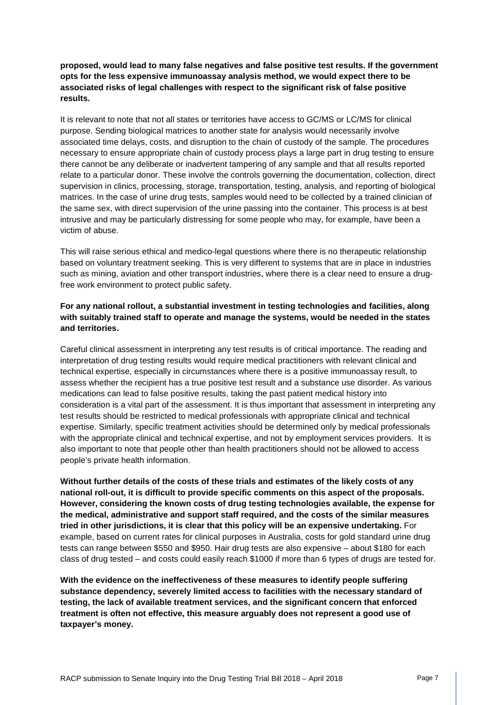**proposed, would lead to many false negatives and false positive test results. If the government opts for the less expensive immunoassay analysis method, we would expect there to be associated risks of legal challenges with respect to the significant risk of false positive results.**

It is relevant to note that not all states or territories have access to GC/MS or LC/MS for clinical purpose. Sending biological matrices to another state for analysis would necessarily involve associated time delays, costs, and disruption to the chain of custody of the sample. The procedures necessary to ensure appropriate chain of custody process plays a large part in drug testing to ensure there cannot be any deliberate or inadvertent tampering of any sample and that all results reported relate to a particular donor. These involve the controls governing the documentation, collection, direct supervision in clinics, processing, storage, transportation, testing, analysis, and reporting of biological matrices. In the case of urine drug tests, samples would need to be collected by a trained clinician of the same sex, with direct supervision of the urine passing into the container. This process is at best intrusive and may be particularly distressing for some people who may, for example, have been a victim of abuse.

This will raise serious ethical and medico-legal questions where there is no therapeutic relationship based on voluntary treatment seeking. This is very different to systems that are in place in industries such as mining, aviation and other transport industries, where there is a clear need to ensure a drugfree work environment to protect public safety.

#### **For any national rollout, a substantial investment in testing technologies and facilities, along with suitably trained staff to operate and manage the systems, would be needed in the states and territories.**

Careful clinical assessment in interpreting any test results is of critical importance. The reading and interpretation of drug testing results would require medical practitioners with relevant clinical and technical expertise, especially in circumstances where there is a positive immunoassay result, to assess whether the recipient has a true positive test result and a substance use disorder. As various medications can lead to false positive results, taking the past patient medical history into consideration is a vital part of the assessment. It is thus important that assessment in interpreting any test results should be restricted to medical professionals with appropriate clinical and technical expertise. Similarly, specific treatment activities should be determined only by medical professionals with the appropriate clinical and technical expertise, and not by employment services providers. It is also important to note that people other than health practitioners should not be allowed to access people's private health information.

**Without further details of the costs of these trials and estimates of the likely costs of any national roll-out, it is difficult to provide specific comments on this aspect of the proposals. However, considering the known costs of drug testing technologies available, the expense for the medical, administrative and support staff required, and the costs of the similar measures tried in other jurisdictions, it is clear that this policy will be an expensive undertaking.** For example, based on current rates for clinical purposes in Australia, costs for gold standard urine drug tests can range between \$550 and \$950. Hair drug tests are also expensive – about \$180 for each class of drug tested – and costs could easily reach \$1000 if more than 6 types of drugs are tested for.

**With the evidence on the ineffectiveness of these measures to identify people suffering substance dependency, severely limited access to facilities with the necessary standard of testing, the lack of available treatment services, and the significant concern that enforced treatment is often not effective, this measure arguably does not represent a good use of taxpayer's money.**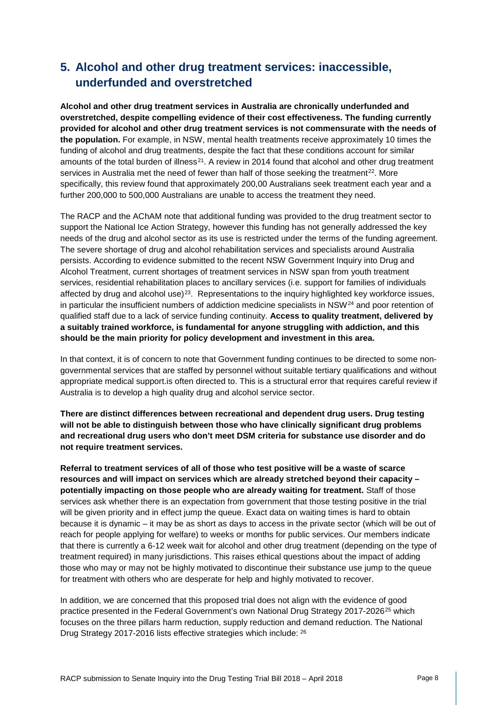# **5. Alcohol and other drug treatment services: inaccessible, underfunded and overstretched**

**Alcohol and other drug treatment services in Australia are chronically underfunded and overstretched, despite compelling evidence of their cost effectiveness. The funding currently provided for alcohol and other drug treatment services is not commensurate with the needs of the population.** For example, in NSW, mental health treatments receive approximately 10 times the funding of alcohol and drug treatments, despite the fact that these conditions account for similar amounts of the total burden of illness<sup>[21](#page-12-17)</sup>. A review in 2014 found that alcohol and other drug treatment services in Australia met the need of fewer than half of those seeking the treatment<sup>22</sup>. More specifically, this review found that approximately 200,00 Australians seek treatment each year and a further 200,000 to 500,000 Australians are unable to access the treatment they need.

The RACP and the AChAM note that additional funding was provided to the drug treatment sector to support the National Ice Action Strategy, however this funding has not generally addressed the key needs of the drug and alcohol sector as its use is restricted under the terms of the funding agreement. The severe shortage of drug and alcohol rehabilitation services and specialists around Australia persists. According to evidence submitted to the recent NSW Government Inquiry into Drug and Alcohol Treatment, current shortages of treatment services in NSW span from youth treatment services, residential rehabilitation places to ancillary services (i.e. support for families of individuals affected by drug and alcohol use) $^{23}$ . Representations to the inquiry highlighted key workforce issues, in particular the insufficient numbers of addiction medicine specialists in NSW[24](#page-12-20) and poor retention of qualified staff due to a lack of service funding continuity. **Access to quality treatment, delivered by a suitably trained workforce, is fundamental for anyone struggling with addiction, and this should be the main priority for policy development and investment in this area.**

In that context, it is of concern to note that Government funding continues to be directed to some nongovernmental services that are staffed by personnel without suitable tertiary qualifications and without appropriate medical support.is often directed to. This is a structural error that requires careful review if Australia is to develop a high quality drug and alcohol service sector.

**There are distinct differences between recreational and dependent drug users. Drug testing will not be able to distinguish between those who have clinically significant drug problems and recreational drug users who don't meet DSM criteria for substance use disorder and do not require treatment services.**

**Referral to treatment services of all of those who test positive will be a waste of scarce resources and will impact on services which are already stretched beyond their capacity – potentially impacting on those people who are already waiting for treatment.** Staff of those services ask whether there is an expectation from government that those testing positive in the trial will be given priority and in effect jump the queue. Exact data on waiting times is hard to obtain because it is dynamic – it may be as short as days to access in the private sector (which will be out of reach for people applying for welfare) to weeks or months for public services. Our members indicate that there is currently a 6-12 week wait for alcohol and other drug treatment (depending on the type of treatment required) in many jurisdictions. This raises ethical questions about the impact of adding those who may or may not be highly motivated to discontinue their substance use jump to the queue for treatment with others who are desperate for help and highly motivated to recover.

In addition, we are concerned that this proposed trial does not align with the evidence of good practice presented in the Federal Government's own National Drug Strategy 2017-2026<sup>[25](#page-12-21)</sup> which focuses on the three pillars harm reduction, supply reduction and demand reduction. The National Drug Strategy 2017-2016 lists effective strategies which include: [26](#page-12-22)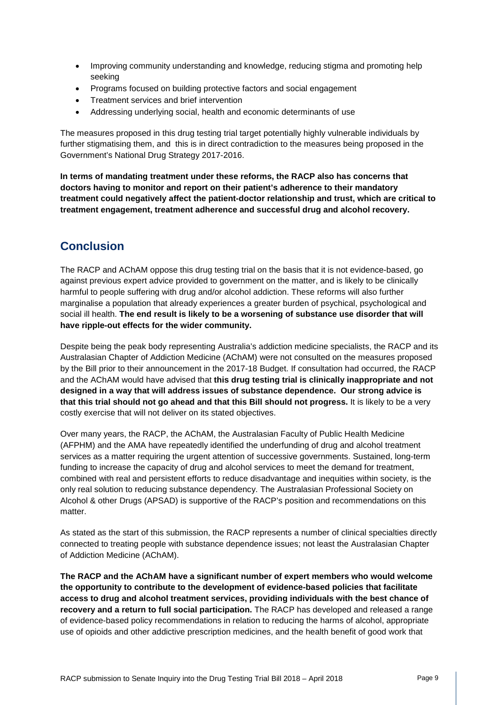- Improving community understanding and knowledge, reducing stigma and promoting help seeking
- Programs focused on building protective factors and social engagement
- Treatment services and brief intervention
- Addressing underlying social, health and economic determinants of use

The measures proposed in this drug testing trial target potentially highly vulnerable individuals by further stigmatising them, and this is in direct contradiction to the measures being proposed in the Government's National Drug Strategy 2017-2016.

**In terms of mandating treatment under these reforms, the RACP also has concerns that doctors having to monitor and report on their patient's adherence to their mandatory treatment could negatively affect the patient-doctor relationship and trust, which are critical to treatment engagement, treatment adherence and successful drug and alcohol recovery.**

# **Conclusion**

The RACP and AChAM oppose this drug testing trial on the basis that it is not evidence-based, go against previous expert advice provided to government on the matter, and is likely to be clinically harmful to people suffering with drug and/or alcohol addiction. These reforms will also further marginalise a population that already experiences a greater burden of psychical, psychological and social ill health. **The end result is likely to be a worsening of substance use disorder that will have ripple-out effects for the wider community.**

Despite being the peak body representing Australia's addiction medicine specialists, the RACP and its Australasian Chapter of Addiction Medicine (AChAM) were not consulted on the measures proposed by the Bill prior to their announcement in the 2017-18 Budget. If consultation had occurred, the RACP and the AChAM would have advised that **this drug testing trial is clinically inappropriate and not designed in a way that will address issues of substance dependence. Our strong advice is that this trial should not go ahead and that this Bill should not progress.** It is likely to be a very costly exercise that will not deliver on its stated objectives.

Over many years, the RACP, the AChAM, the Australasian Faculty of Public Health Medicine (AFPHM) and the AMA have repeatedly identified the underfunding of drug and alcohol treatment services as a matter requiring the urgent attention of successive governments. Sustained, long-term funding to increase the capacity of drug and alcohol services to meet the demand for treatment, combined with real and persistent efforts to reduce disadvantage and inequities within society, is the only real solution to reducing substance dependency. The Australasian Professional Society on Alcohol & other Drugs (APSAD) is supportive of the RACP's position and recommendations on this matter.

As stated as the start of this submission, the RACP represents a number of clinical specialties directly connected to treating people with substance dependence issues; not least the Australasian Chapter of Addiction Medicine (AChAM).

**The RACP and the AChAM have a significant number of expert members who would welcome the opportunity to contribute to the development of evidence-based policies that facilitate access to drug and alcohol treatment services, providing individuals with the best chance of recovery and a return to full social participation.** The RACP has developed and released a range of evidence-based policy recommendations in relation to reducing the harms of alcohol, appropriate use of opioids and other addictive prescription medicines, and the health benefit of good work that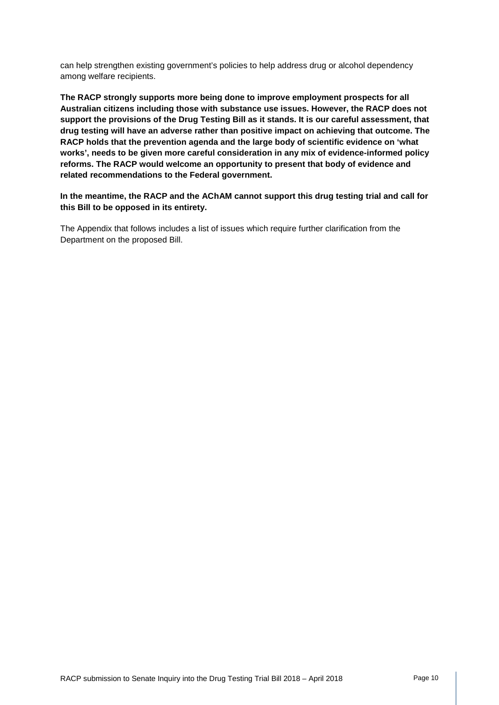can help strengthen existing government's policies to help address drug or alcohol dependency among welfare recipients.

**The RACP strongly supports more being done to improve employment prospects for all Australian citizens including those with substance use issues. However, the RACP does not support the provisions of the Drug Testing Bill as it stands. It is our careful assessment, that drug testing will have an adverse rather than positive impact on achieving that outcome. The RACP holds that the prevention agenda and the large body of scientific evidence on 'what works', needs to be given more careful consideration in any mix of evidence-informed policy reforms. The RACP would welcome an opportunity to present that body of evidence and related recommendations to the Federal government.**

**In the meantime, the RACP and the AChAM cannot support this drug testing trial and call for this Bill to be opposed in its entirety.**

The Appendix that follows includes a list of issues which require further clarification from the Department on the proposed Bill.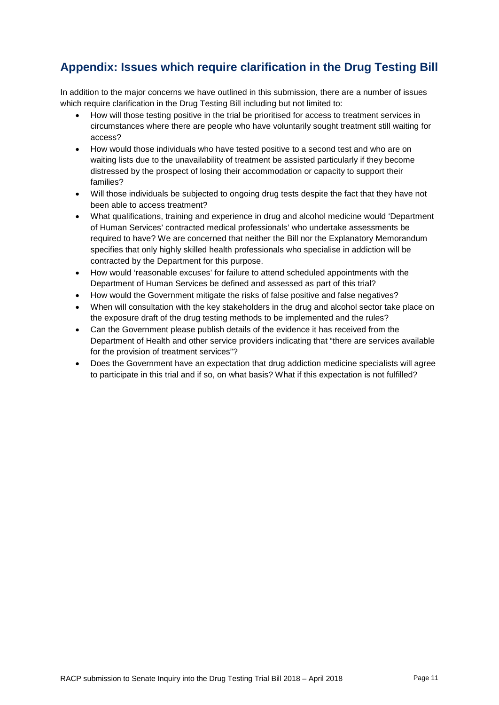# **Appendix: Issues which require clarification in the Drug Testing Bill**

In addition to the major concerns we have outlined in this submission, there are a number of issues which require clarification in the Drug Testing Bill including but not limited to:

- How will those testing positive in the trial be prioritised for access to treatment services in circumstances where there are people who have voluntarily sought treatment still waiting for access?
- How would those individuals who have tested positive to a second test and who are on waiting lists due to the unavailability of treatment be assisted particularly if they become distressed by the prospect of losing their accommodation or capacity to support their families?
- Will those individuals be subjected to ongoing drug tests despite the fact that they have not been able to access treatment?
- What qualifications, training and experience in drug and alcohol medicine would 'Department of Human Services' contracted medical professionals' who undertake assessments be required to have? We are concerned that neither the Bill nor the Explanatory Memorandum specifies that only highly skilled health professionals who specialise in addiction will be contracted by the Department for this purpose.
- How would 'reasonable excuses' for failure to attend scheduled appointments with the Department of Human Services be defined and assessed as part of this trial?
- How would the Government mitigate the risks of false positive and false negatives?
- When will consultation with the key stakeholders in the drug and alcohol sector take place on the exposure draft of the drug testing methods to be implemented and the rules?
- Can the Government please publish details of the evidence it has received from the Department of Health and other service providers indicating that "there are services available for the provision of treatment services"?
- Does the Government have an expectation that drug addiction medicine specialists will agree to participate in this trial and if so, on what basis? What if this expectation is not fulfilled?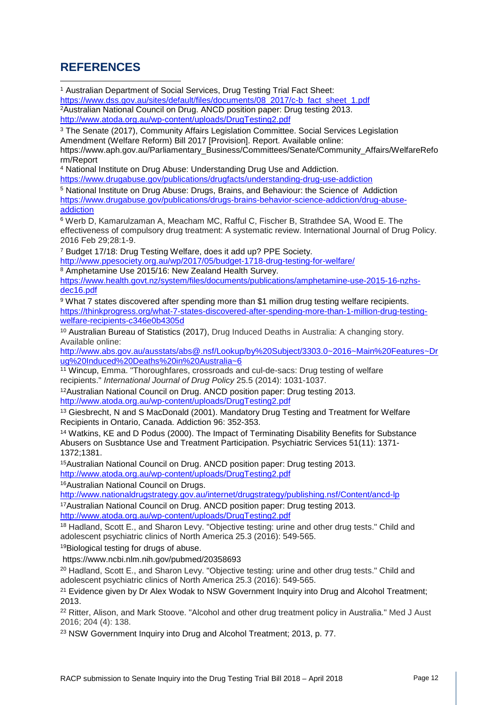# **REFERENCES**

<span id="page-11-0"></span><sup>1</sup> Australian Department of Social Services, Drug Testing Trial Fact Sheet: [https://www.dss.gov.au/sites/default/files/documents/08\\_2017/c-b\\_fact\\_sheet\\_1.pdf](https://www.dss.gov.au/sites/default/files/documents/08_2017/c-b_fact_sheet_1.pdf) 2Australian National Council on Drug. ANCD position paper: Drug testing 2013. <http://www.atoda.org.au/wp-content/uploads/DrugTesting2.pdf>  $\overline{\phantom{a}}$ 

<span id="page-11-2"></span><span id="page-11-1"></span><sup>3</sup> The Senate (2017), Community Affairs Legislation Committee. Social Services Legislation Amendment (Welfare Reform) Bill 2017 [Provision]. Report. Available online: https://www.aph.gov.au/Parliamentary\_Business/Committees/Senate/Community\_Affairs/WelfareRefo

rm/Report <sup>4</sup> National Institute on Drug Abuse: Understanding Drug Use and Addiction.

<https://www.drugabuse.gov/publications/drugfacts/understanding-drug-use-addiction>

<sup>5</sup> National Institute on Drug Abuse: Drugs, Brains, and Behaviour: the Science of Addiction [https://www.drugabuse.gov/publications/drugs-brains-behavior-science-addiction/drug-abuse](https://www.drugabuse.gov/publications/drugs-brains-behavior-science-addiction/drug-abuse-addiction)[addiction](https://www.drugabuse.gov/publications/drugs-brains-behavior-science-addiction/drug-abuse-addiction)

<sup>6</sup> Werb D, Kamarulzaman A, Meacham MC, Rafful C, Fischer B, Strathdee SA, Wood E. The effectiveness of compulsory drug treatment: A systematic review. International Journal of Drug Policy. 2016 Feb 29;28:1-9.

<sup>7</sup> Budget 17/18: Drug Testing Welfare, does it add up? PPE Society. http://www.ppesociety.org.au/wp/2017/05/budget-1718-drug-testing-for-welfare/

<sup>8</sup> Amphetamine Use 2015/16: New Zealand Health Survey.

[https://www.health.govt.nz/system/files/documents/publications/amphetamine-use-2015-16-nzhs](https://www.health.govt.nz/system/files/documents/publications/amphetamine-use-2015-16-nzhs-dec16.pdf)[dec16.pdf](https://www.health.govt.nz/system/files/documents/publications/amphetamine-use-2015-16-nzhs-dec16.pdf)

<sup>9</sup> What 7 states discovered after spending more than \$1 million drug testing welfare recipients. [https://thinkprogress.org/what-7-states-discovered-after-spending-more-than-1-million-drug-testing](https://thinkprogress.org/what-7-states-discovered-after-spending-more-than-1-million-drug-testing-welfare-recipients-c346e0b4305d)[welfare-recipients-c346e0b4305d](https://thinkprogress.org/what-7-states-discovered-after-spending-more-than-1-million-drug-testing-welfare-recipients-c346e0b4305d)

<sup>10</sup> Australian Bureau of Statistics (2017), Drug Induced Deaths in Australia: A changing story. Available online:

[http://www.abs.gov.au/ausstats/abs@.nsf/Lookup/by%20Subject/3303.0~2016~Main%20Features~Dr](http://www.abs.gov.au/ausstats/abs@.nsf/Lookup/by%20Subject/3303.0%7E2016%7EMain%20Features%7EDrug%20Induced%20Deaths%20in%20Australia%7E6) [ug%20Induced%20Deaths%20in%20Australia~6](http://www.abs.gov.au/ausstats/abs@.nsf/Lookup/by%20Subject/3303.0%7E2016%7EMain%20Features%7EDrug%20Induced%20Deaths%20in%20Australia%7E6)

<sup>11</sup> Wincup, Emma. "Thoroughfares, crossroads and cul-de-sacs: Drug testing of welfare recipients." *International Journal of Drug Policy* 25.5 (2014): 1031-1037.

12Australian National Council on Drug. ANCD position paper: Drug testing 2013. <http://www.atoda.org.au/wp-content/uploads/DrugTesting2.pdf>

<sup>13</sup> Giesbrecht, N and S MacDonald (2001). Mandatory Drug Testing and Treatment for Welfare Recipients in Ontario, Canada. Addiction 96: 352-353.

<sup>14</sup> Watkins, KE and D Podus (2000). The Impact of Terminating Disability Benefits for Substance Abusers on Susbtance Use and Treatment Participation. Psychiatric Services 51(11): 1371- 1372;1381.

15Australian National Council on Drug. ANCD position paper: Drug testing 2013. <http://www.atoda.org.au/wp-content/uploads/DrugTesting2.pdf>

16Australian National Council on Drugs.

<http://www.nationaldrugstrategy.gov.au/internet/drugstrategy/publishing.nsf/Content/ancd-lp>

17Australian National Council on Drug. ANCD position paper: Drug testing 2013. <http://www.atoda.org.au/wp-content/uploads/DrugTesting2.pdf>

<sup>18</sup> Hadland, Scott E., and Sharon Levy. "Objective testing: urine and other drug tests." Child and adolescent psychiatric clinics of North America 25.3 (2016): 549-565.

19Biological testing for drugs of abuse.

https://www.ncbi.nlm.nih.gov/pubmed/20358693

<sup>20</sup> Hadland, Scott E., and Sharon Levy. "Objective testing: urine and other drug tests." Child and adolescent psychiatric clinics of North America 25.3 (2016): 549-565.

<sup>21</sup> Evidence given by Dr Alex Wodak to NSW Government Inquiry into Drug and Alcohol Treatment; 2013.

<sup>22</sup> Ritter, Alison, and Mark Stoove. "Alcohol and other drug treatment policy in Australia." Med J Aust 2016; 204 (4): 138.

<sup>23</sup> NSW Government Inquiry into Drug and Alcohol Treatment; 2013, p. 77.